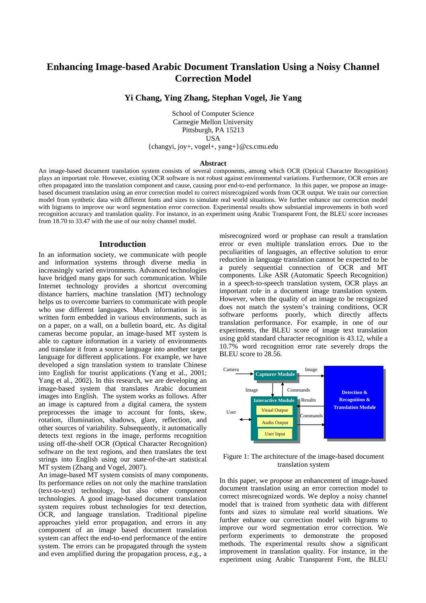# **Enhancing Image-based Arabic Document Translation Using a Noisy Channel Correction Model**

**Yi Chang, Ying Zhang, Stephan Vogel, Jie Yang** 

School of Computer Science Carnegie Mellon University Pittsburgh, PA 15213 USA {changyi, joy+, vogel+, yang+}@cs.cmu.edu

#### **Abstract**

An image-based document translation system consists of several components, among which OCR (Optical Character Recognition) plays an important role. However, existing OCR software is not robust against environmental variations. Furthermore, OCR errors are often propagated into the translation component and cause, causing poor end-to-end performance. In this paper, we propose an imagebased document translation using an error correction model to correct misrecognized words from OCR output. We train our correction model from synthetic data with different fonts and sizes to simulate real world situations. We further enhance our correction model with bigrams to improve our word segmentation error correction. Experimental results show substantial improvements in both word recognition accuracy and translation quality. For instance, in an experiment using Arabic Transparent Font, the BLEU score increases from 18.70 to 33.47 with the use of our noisy channel model.

#### **Introduction**

In an information society, we communicate with people and information systems through diverse media in increasingly varied environments. Advanced technologies have bridged many gaps for such communication. While Internet technology provides a shortcut overcoming distance barriers, machine translation (MT) technology helps us to overcome barriers to communicate with people who use different languages. Much information is in written form embedded in various environments, such as on a paper, on a wall, on a bulletin board, etc. As digital cameras become popular, an image-based MT system is able to capture information in a variety of environments and translate it from a source language into another target language for different applications. For example, we have developed a sign translation system to translate Chinese into English for tourist applications (Yang et al., 2001; Yang et al., 2002). In this research, we are developing an image-based system that translates Arabic document images into English. The system works as follows. After an image is captured from a digital camera, the system preprocesses the image to account for fonts, skew, rotation, illumination, shadows, glare, reflection, and other sources of variability. Subsequently, it automatically detects text regions in the image, performs recognition using off-the-shelf OCR (Optical Character Recognition) software on the text regions, and then translates the text strings into English using our state-of-the-art statistical MT system (Zhang and Vogel, 2007).

An image-based MT system consists of many components. Its performance relies on not only the machine translation (text-to-text) technology, but also other component technologies. A good image-based document translation system requires robust technologies for text detection, OCR, and language translation. Traditional pipeline approaches yield error propagation, and errors in any component of an image based document translation system can affect the end-to-end performance of the entire system. The errors can be propagated through the system and even amplified during the propagation process, e.g., a

misrecognized word or prophase can result a translation error or even multiple translation errors. Due to the peculiarities of languages, an effective solution to error reduction in language translation cannot be expected to be a purely sequential connection of OCR and MT components. Like ASR (Automatic Speech Recognition) in a speech-to-speech translation system, OCR plays an important role in a document image translation system. However, when the quality of an image to be recognized does not match the system's training conditions, OCR software performs poorly, which directly affects translation performance. For example, in one of our experiments, the BLEU score of image text translation using gold standard character recognition is 43.12, while a 10.7% word recognition error rate severely drops the BLEU score to 28.56.



# Figure 1: The architecture of the image-based document translation system

In this paper, we propose an enhancement of image-based document translation using an error correction model to correct misrecognized words. We deploy a noisy channel model that is trained from synthetic data with different fonts and sizes to simulate real world situations. We further enhance our correction model with bigrams to improve our word segmentation error correction. We perform experiments to demonstrate the proposed methods. The experimental results show a significant improvement in translation quality. For instance, in the experiment using Arabic Transparent Font, the BLEU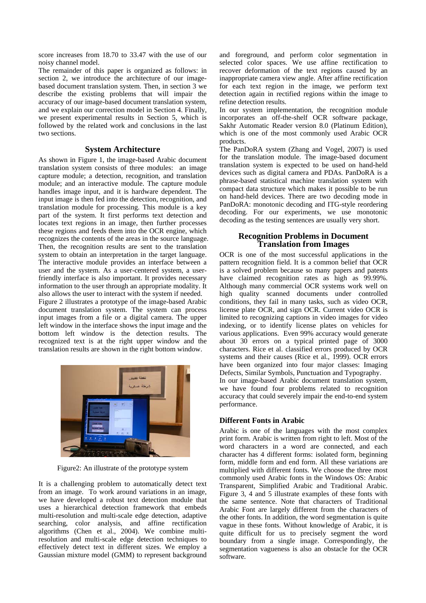score increases from 18.70 to 33.47 with the use of our noisy channel model.

The remainder of this paper is organized as follows: in section 2, we introduce the architecture of our imagebased document translation system. Then, in section 3 we describe the existing problems that will impair the accuracy of our image-based document translation system, and we explain our correction model in Section 4. Finally, we present experimental results in Section 5, which is followed by the related work and conclusions in the last two sections.

## **System Architecture**

As shown in Figure 1, the image-based Arabic document translation system consists of three modules: an image capture module; a detection, recognition, and translation module; and an interactive module. The capture module handles image input, and it is hardware dependent. The input image is then fed into the detection, recognition, and translation module for processing. This module is a key part of the system. It first performs text detection and locates text regions in an image, then further processes these regions and feeds them into the OCR engine, which recognizes the contents of the areas in the source language. Then, the recognition results are sent to the translation system to obtain an interpretation in the target language. The interactive module provides an interface between a user and the system. As a user-centered system, a userfriendly interface is also important. It provides necessary information to the user through an appropriate modality. It also allows the user to interact with the system if needed. Figure 2 illustrates a prototype of the image-based Arabic document translation system. The system can process input images from a file or a digital camera. The upper left window in the interface shows the input image and the bottom left window is the detection results. The recognized text is at the right upper window and the translation results are shown in the right bottom window.



Figure2: An illustrate of the prototype system

It is a challenging problem to automatically detect text from an image. To work around variations in an image, we have developed a robust text detection module that uses a hierarchical detection framework that embeds multi-resolution and multi-scale edge detection, adaptive searching, color analysis, and affine rectification algorithms (Chen et al., 2004). We combine multiresolution and multi-scale edge detection techniques to effectively detect text in different sizes. We employ a Gaussian mixture model (GMM) to represent background

and foreground, and perform color segmentation in selected color spaces. We use affine rectification to recover deformation of the text regions caused by an inappropriate camera view angle. After affine rectification for each text region in the image, we perform text detection again in rectified regions within the image to refine detection results.

In our system implementation, the recognition module incorporates an off-the-shelf OCR software package, Sakhr Automatic Reader version 8.0 (Platinum Edition), which is one of the most commonly used Arabic OCR products.

The PanDoRA system (Zhang and Vogel, 2007) is used for the translation module. The image-based document translation system is expected to be used on hand-held devices such as digital camera and PDAs. PanDoRA is a phrase-based statistical machine translation system with compact data structure which makes it possible to be run on hand-held devices. There are two decoding mode in PanDoRA: monotonic decoding and ITG-style reordering decoding. For our experiments, we use monotonic decoding as the testing sentences are usually very short.

## **Recognition Problems in Document Translation from Images**

OCR is one of the most successful applications in the pattern recognition field. It is a common belief that OCR is a solved problem because so many papers and patents have claimed recognition rates as high as 99.99%. Although many commercial OCR systems work well on high quality scanned documents under controlled conditions, they fail in many tasks, such as video OCR, license plate OCR, and sign OCR. Current video OCR is limited to recognizing captions in video images for video indexing, or to identify license plates on vehicles for various applications. Even 99% accuracy would generate about 30 errors on a typical printed page of 3000 characters. Rice et al. classified errors produced by OCR systems and their causes (Rice et al., 1999). OCR errors have been organized into four major classes: Imaging Defects, Similar Symbols, Punctuation and Typography.

In our image-based Arabic document translation system, we have found four problems related to recognition accuracy that could severely impair the end-to-end system performance.

## **Different Fonts in Arabic**

Arabic is one of the languages with the most complex print form. Arabic is written from right to left. Most of the word characters in a word are connected, and each character has 4 different forms: isolated form, beginning form, middle form and end form. All these variations are multiplied with different fonts. We choose the three most commonly used Arabic fonts in the Windows OS: Arabic Transparent, Simplified Arabic and Traditional Arabic. Figure 3, 4 and 5 illustrate examples of these fonts with the same sentence. Note that characters of Traditional Arabic Font are largely different from the characters of the other fonts. In addition, the word segmentation is quite vague in these fonts. Without knowledge of Arabic, it is quite difficult for us to precisely segment the word boundary from a single image. Correspondingly, the segmentation vagueness is also an obstacle for the OCR software.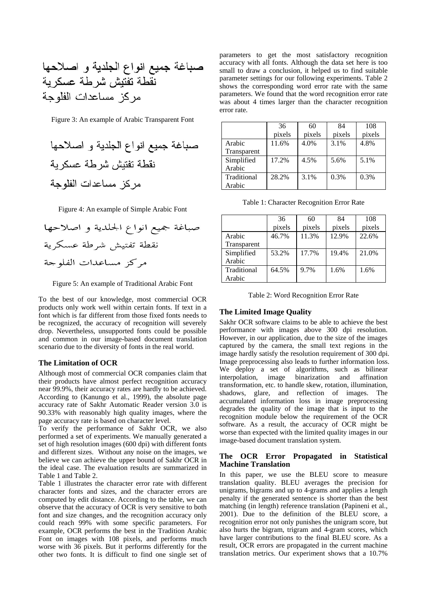Figure 3: An example of Arabic Transparent Font



Figure 4: An example of Simple Arabic Font

Figure 5: An example of Traditional Arabic Font

To the best of our knowledge, most commercial OCR products only work well within certain fonts. If text in a font which is far different from those fixed fonts needs to be recognized, the accuracy of recognition will severely drop. Nevertheless, unsupported fonts could be possible and common in our image-based document translation scenario due to the diversity of fonts in the real world.

#### **The Limitation of OCR**

Although most of commercial OCR companies claim that their products have almost perfect recognition accuracy near 99.9%, their accuracy rates are hardly to be achieved. According to (Kanungo et al., 1999), the absolute page accuracy rate of Sakhr Automatic Reader version 3.0 is 90.33% with reasonably high quality images, where the page accuracy rate is based on character level.

To verify the performance of Sakhr OCR, we also performed a set of experiments. We manually generated a set of high resolution images (600 dpi) with different fonts and different sizes. Without any noise on the images, we believe we can achieve the upper bound of Sakhr OCR in the ideal case. The evaluation results are summarized in Table 1 and Table 2.

Table 1 illustrates the character error rate with different character fonts and sizes, and the character errors are computed by edit distance. According to the table, we can observe that the accuracy of OCR is very sensitive to both font and size changes, and the recognition accuracy only could reach 99% with some specific parameters. For example, OCR performs the best in the Tradition Arabic Font on images with 108 pixels, and performs much worse with 36 pixels. But it performs differently for the other two fonts. It is difficult to find one single set of parameters to get the most satisfactory recognition accuracy with all fonts. Although the data set here is too small to draw a conclusion, it helped us to find suitable parameter settings for our following experiments. Table 2 shows the corresponding word error rate with the same parameters. We found that the word recognition error rate was about 4 times larger than the character recognition error rate.

|             | 36     | 60     | 84      | 108    |
|-------------|--------|--------|---------|--------|
|             | pixels | pixels | pixels  | pixels |
| Arabic      | 11.6%  | 4.0%   | 3.1%    | 4.8%   |
| Transparent |        |        |         |        |
| Simplified  | 17.2%  | 4.5%   | 5.6%    | 5.1%   |
| Arabic      |        |        |         |        |
| Traditional | 28.2%  | 3.1%   | $0.3\%$ | 0.3%   |
| Arabic      |        |        |         |        |

Table 1: Character Recognition Error Rate

|             | 36     | 60     | 84     | 108    |
|-------------|--------|--------|--------|--------|
|             | pixels | pixels | pixels | pixels |
| Arabic      | 46.7%  | 11.3%  | 12.9%  | 22.6%  |
| Transparent |        |        |        |        |
| Simplified  | 53.2%  | 17.7%  | 19.4%  | 21.0%  |
| Arabic      |        |        |        |        |
| Traditional | 64.5%  | 9.7%   | 1.6%   | 1.6%   |
| Arabic      |        |        |        |        |

## **The Limited Image Quality**

Sakhr OCR software claims to be able to achieve the best performance with images above 300 dpi resolution. However, in our application, due to the size of the images captured by the camera, the small text regions in the image hardly satisfy the resolution requirement of 300 dpi. Image preprocessing also leads to further information loss. We deploy a set of algorithms, such as bilinear interpolation, image binarization and affination transformation, etc. to handle skew, rotation, illumination, shadows, glare, and reflection of images. The accumulated information loss in image preprocessing degrades the quality of the image that is input to the recognition module below the requirement of the OCR software. As a result, the accuracy of OCR might be worse than expected with the limited quality images in our image-based document translation system.

#### **The OCR Error Propagated in Statistical Machine Translation**

In this paper, we use the BLEU score to measure translation quality. BLEU averages the precision for unigrams, bigrams and up to 4-grams and applies a length penalty if the generated sentence is shorter than the best matching (in length) reference translation (Papineni et al., 2001). Due to the definition of the BLEU score, a recognition error not only punishes the unigram score, but also hurts the bigram, trigram and 4-gram scores, which have larger contributions to the final BLEU score. As a result, OCR errors are propagated in the current machine translation metrics. Our experiment shows that a 10.7%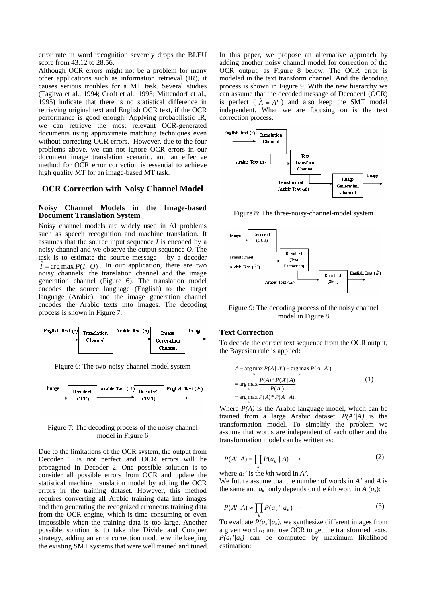error rate in word recognition severely drops the BLEU score from 43.12 to 28.56.

Although OCR errors might not be a problem for many other applications such as information retrieval (IR), it causes serious troubles for a MT task. Several studies (Taghva et al., 1994; Croft et al., 1993; Mittendorf et al., 1995) indicate that there is no statistical difference in retrieving original text and English OCR text, if the OCR performance is good enough. Applying probabilistic IR, we can retrieve the most relevant OCR-generated documents using approximate matching techniques even without correcting OCR errors. However, due to the four problems above, we can not ignore OCR errors in our document image translation scenario, and an effective method for OCR error correction is essential to achieve high quality MT for an image-based MT task.

## **OCR Correction with Noisy Channel Model**

#### **Noisy Channel Models in the Image-based Document Translation System**

Noisy channel models are widely used in AI problems such as speech recognition and machine translation. It assumes that the source input sequence *I* is encoded by a noisy channel and we observe the output sequence *O*. The task is to estimate the source message by a decoder  $\hat{I} = \arg \max P(I | O)$ . In our application, there are two *I* noisy channels: the translation channel and the image generation channel (Figure 6). The translation model encodes the source language (English) to the target language (Arabic), and the image generation channel encodes the Arabic texts into images. The decoding process is shown in Figure 7.



Figure 6: The two-noisy-channel-model system



## Figure 7: The decoding process of the noisy channel model in Figure 6

Due to the limitations of the OCR system, the output from Decoder 1 is not perfect and OCR errors will be propagated in Decoder 2. One possible solution is to consider all possible errors from OCR and update the statistical machine translation model by adding the OCR errors in the training dataset. However, this method requires converting all Arabic training data into images and then generating the recognized erroneous training data from the OCR engine, which is time consuming or even impossible when the training data is too large. Another possible solution is to take the Divide and Conquer strategy, adding an error correction module while keeping the existing SMT systems that were well trained and tuned. In this paper, we propose an alternative approach by adding another noisy channel model for correction of the OCR output, as Figure 8 below. The OCR error is modeled in the text transform channel. And the decoding process is shown in Figure 9. With the new hierarchy we can assume that the decoded message of Decoder1 (OCR) is perfect ( $\hat{A} = A'$ ) and also keep the SMT model independent. What we are focusing on is the text correction process.



Figure 8: The three-noisy-channel-model system



Figure 9: The decoding process of the noisy channel model in Figure 8

## **Text Correction**

*A*

To decode the correct text sequence from the OCR output, the Bayesian rule is applied:

$$
\hat{A} = \arg \max_{A} P(A | \hat{A}') = \arg \max_{A} P(A | A')
$$
  
= 
$$
\arg \max_{A} \frac{P(A) * P(A' | A)}{P(A')}
$$
  
= 
$$
\arg \max_{A} P(A) * P(A' | A),
$$
 (1)

Where  $P(A)$  is the Arabic language model, which can be trained from a large Arabic dataset. *P(A'|A)* is the transformation model. To simplify the problem we assume that words are independent of each other and the transformation model can be written as:

$$
P(A' | A) = \prod_{k} P(a_k' | A) \qquad , \tag{2}
$$

where  $a_k$ ' is the *k*th word in *A*'.

We future assume that the number of words in *A'* and *A* is the same and  $a_k$ ' only depends on the *k*th word in *A*  $(a_k)$ :

$$
P(A' | A) \approx \prod_{k} P(a_k | a_k) \quad . \tag{3}
$$

To evaluate  $P(a_k'|a_k)$ , we synthesize different images from a given word *ak* and use OCR to get the transformed texts.  $P(a_k'|a_k)$  can be computed by maximum likelihood estimation: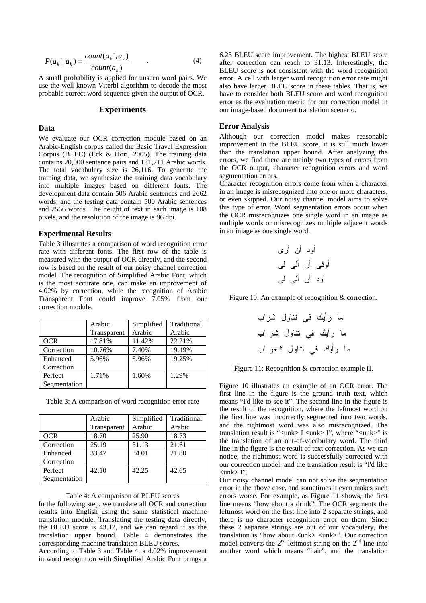$$
P(a_k \mid a_k) = \frac{count(a_k \mid a_k)}{count(a_k)} \tag{4}
$$

A small probability is applied for unseen word pairs. We use the well known Viterbi algorithm to decode the most probable correct word sequence given the output of OCR.

## **Experiments**

# **Data**

We evaluate our OCR correction module based on an Arabic-English corpus called the Basic Travel Expression Corpus (BTEC) (Eck & Hori, 2005). The training data contains 20,000 sentence pairs and 131,711 Arabic words. The total vocabulary size is 26,116. To generate the training data, we synthesize the training data vocabulary into multiple images based on different fonts. The development data contain 506 Arabic sentences and 2662 words, and the testing data contain 500 Arabic sentences and 2566 words. The height of text in each image is 108 pixels, and the resolution of the image is 96 dpi.

#### **Experimental Results**

Table 3 illustrates a comparison of word recognition error rate with different fonts. The first row of the table is measured with the output of OCR directly, and the second row is based on the result of our noisy channel correction model. The recognition of Simplified Arabic Font, which is the most accurate one, can make an improvement of 4.02% by correction, while the recognition of Arabic Transparent Font could improve 7.05% from our correction module.

|              | Arabic      | Simplified | Traditional |
|--------------|-------------|------------|-------------|
|              | Transparent | Arabic     | Arabic      |
| <b>OCR</b>   | 17.81%      | 11.42%     | 22.21%      |
| Correction   | 10.76%      | 7.40%      | 19.49%      |
| Enhanced     | 5.96%       | 5.96%      | 19.25%      |
| Correction   |             |            |             |
| Perfect      | 1.71%       | 1.60%      | 1.29%       |
| Segmentation |             |            |             |

Table 3: A comparison of word recognition error rate

|              | Arabic      | Simplified | Traditional |
|--------------|-------------|------------|-------------|
|              | Transparent | Arabic     | Arabic      |
| OCR          | 18.70       | 25.90      | 18.73       |
| Correction   | 25.19       | 31.13      | 21.61       |
| Enhanced     | 33.47       | 34.01      | 21.80       |
| Correction   |             |            |             |
| Perfect      | 42.10       | 42.25      | 42.65       |
| Segmentation |             |            |             |

#### Table 4: A comparison of BLEU scores

In the following step, we translate all OCR and correction results into English using the same statistical machine translation module. Translating the testing data directly, the BLEU score is 43.12, and we can regard it as the translation upper bound. Table 4 demonstrates the corresponding machine translation BLEU scores.

According to Table 3 and Table 4, a 4.02% improvement in word recognition with Simplified Arabic Font brings a 6.23 BLEU score improvement. The highest BLEU score after correction can reach to 31.13. Interestingly, the BLEU score is not consistent with the word recognition error. A cell with larger word recognition error rate might also have larger BLEU score in these tables. That is, we have to consider both BLEU score and word recognition error as the evaluation metric for our correction model in our image-based document translation scenario.

#### **Error Analysis**

Although our correction model makes reasonable improvement in the BLEU score, it is still much lower than the translation upper bound. After analyzing the errors, we find there are mainly two types of errors from the OCR output, character recognition errors and word segmentation errors.

Character recognition errors come from when a character in an image is misrecognized into one or more characters, or even skipped. Our noisy channel model aims to solve this type of error. Word segmentation errors occur when the OCR misrecognizes one single word in an image as multiple words or misrecognizes multiple adjacent words in an image as one single word.

> أود أن أرى أوفى أن ألى لى أود أن ألبي لمي

Figure 10: An example of recognition & correction.



Figure 10 illustrates an example of an OCR error. The first line in the figure is the ground truth text, which means "I'd like to see it". The second line in the figure is the result of the recognition, where the leftmost word on the first line was incorrectly segmented into two words, and the rightmost word was also misrecognized. The translation result is "<unk> I <unk> I", where "<unk>" is the translation of an out-of-vocabulary word. The third line in the figure is the result of text correction. As we can notice, the rightmost word is successfully corrected with our correction model, and the translation result is "I'd like  $\langle$ unk $>$  I".

Our noisy channel model can not solve the segmentation error in the above case, and sometimes it even makes such errors worse. For example, as Figure 11 shows, the first line means "how about a drink". The OCR segments the leftmost word on the first line into 2 separate strings, and there is no character recognition error on them. Since these 2 separate strings are out of our vocabulary, the translation is "how about <unk> <unk>". Our correction model converts the  $2<sup>nd</sup>$  leftmost string on the  $2<sup>nd</sup>$  line into another word which means "hair", and the translation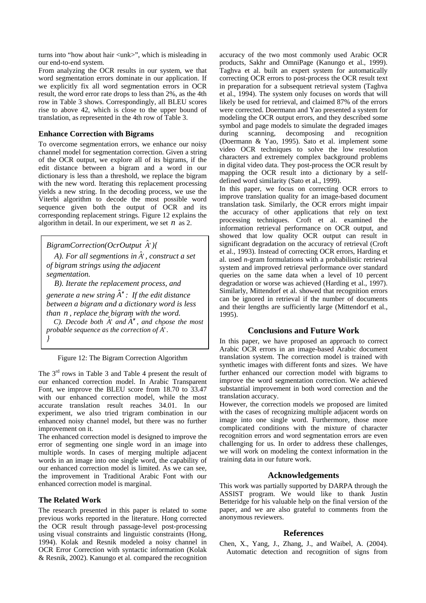turns into "how about hair <unk>", which is misleading in our end-to-end system.

From analyzing the OCR results in our system, we that word segmentation errors dominate in our application. If we explicitly fix all word segmentation errors in OCR result, the word error rate drops to less than 2%, as the 4th row in Table 3 shows. Correspondingly, all BLEU scores rise to above 42, which is close to the upper bound of translation, as represented in the 4th row of Table 3.

# **Enhance Correction with Bigrams**

To overcome segmentation errors, we enhance our noisy channel model for segmentation correction. Given a string of the OCR output, we explore all of its bigrams, if the edit distance between a bigram and a word in our dictionary is less than a threshold, we replace the bigram with the new word. Iterating this replacement processing yields a new string. In the decoding process, we use the Viterbi algorithm to decode the most possible word sequence given both the output of OCR and its corresponding replacement strings. Figure 12 explains the algorithm in detail. In our experiment, we set *n* as 2.

 $BigramCorrection(OcrOutput \hat{A}^{\dagger})\}$ 

*A*). For all segmentions in  $\hat{A}$ <sup>'</sup>, construct a set *of bigram strings using the adjacent segmentation.* 

*B). Iterate the replacement process, and* 

*generate a new string A*′′ ˆ *: If the edit distance between a bigram and a dictionary word is less than n , replace the bigram with the word.* 

 $C$ ). Decode both  $\hat{A}$ ' and  $\hat{A}$ <sup>''</sup>, and choose the most *probable sequence as the correction of*  $\hat{A}$ <sup> $\cdot$ </sup>. *}*

Figure 12: The Bigram Correction Algorithm

The 3rd rows in Table 3 and Table 4 present the result of our enhanced correction model. In Arabic Transparent Font, we improve the BLEU score from 18.70 to 33.47 with our enhanced correction model, while the most accurate translation result reaches 34.01. In our experiment, we also tried trigram combination in our enhanced noisy channel model, but there was no further improvement on it.

The enhanced correction model is designed to improve the error of segmenting one single word in an image into multiple words. In cases of merging multiple adjacent words in an image into one single word, the capability of our enhanced correction model is limited. As we can see, the improvement in Traditional Arabic Font with our enhanced correction model is marginal.

# **The Related Work**

The research presented in this paper is related to some previous works reported in the literature. Hong corrected the OCR result through passage-level post-processing using visual constraints and linguistic constraints (Hong, 1994). Kolak and Resnik modeled a noisy channel in OCR Error Correction with syntactic information (Kolak & Resnik, 2002). Kanungo et al. compared the recognition accuracy of the two most commonly used Arabic OCR products, Sakhr and OmniPage (Kanungo et al., 1999). Taghva et al. built an expert system for automatically correcting OCR errors to post-process the OCR result text in preparation for a subsequent retrieval system (Taghva et al., 1994). The system only focuses on words that will likely be used for retrieval, and claimed 87% of the errors were corrected. Doermann and Yao presented a system for modeling the OCR output errors, and they described some symbol and page models to simulate the degraded images during scanning, decomposing and recognition (Doermann & Yao, 1995). Sato et al. implement some video OCR techniques to solve the low resolution characters and extremely complex background problems in digital video data. They post-process the OCR result by mapping the OCR result into a dictionary by a selfdefined word similarity (Sato et al., 1999).

In this paper, we focus on correcting OCR errors to improve translation quality for an image-based document translation task. Similarly, the OCR errors might impair the accuracy of other applications that rely on text processing techniques. Croft et al. examined the information retrieval performance on OCR output, and showed that low quality OCR output can result in significant degradation on the accuracy of retrieval (Croft et al., 1993). Instead of correcting OCR errors, Harding et al. used *n*-gram formulations with a probabilistic retrieval system and improved retrieval performance over standard queries on the same data when a level of 10 percent degradation or worse was achieved (Harding et al., 1997). Similarly, Mittendorf et al. showed that recognition errors can be ignored in retrieval if the number of documents and their lengths are sufficiently large (Mittendorf et al., 1995).

# **Conclusions and Future Work**

In this paper, we have proposed an approach to correct Arabic OCR errors in an image-based Arabic document translation system. The correction model is trained with synthetic images with different fonts and sizes. We have further enhanced our correction model with bigrams to improve the word segmentation correction. We achieved substantial improvement in both word correction and the translation accuracy.

However, the correction models we proposed are limited with the cases of recognizing multiple adjacent words on image into one single word. Furthermore, those more complicated conditions with the mixture of character recognition errors and word segmentation errors are even challenging for us. In order to address these challenges, we will work on modeling the context information in the training data in our future work.

# **Acknowledgements**

This work was partially supported by DARPA through the ASSIST program. We would like to thank Justin Betteridge for his valuable help on the final version of the paper, and we are also grateful to comments from the anonymous reviewers.

# **References**

Chen, X., Yang, J., Zhang, J., and Waibel, A. (2004). Automatic detection and recognition of signs from